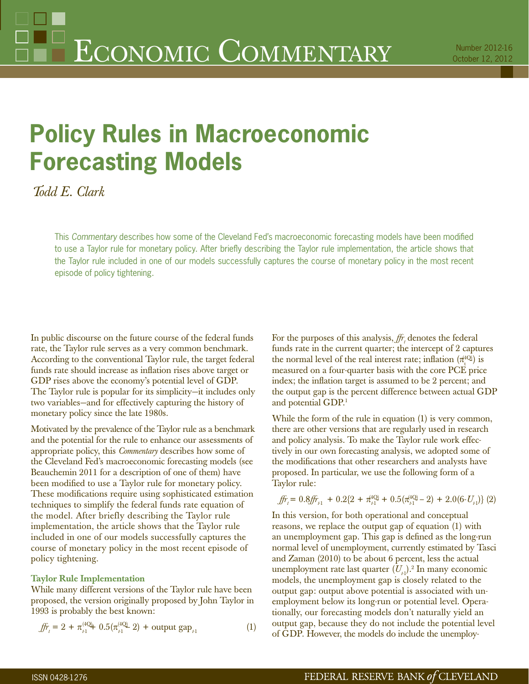# **Policy Rules in Macroeconomic Forecasting Models**

*Todd E. Clark*

This *Commentary* describes how some of the Cleveland Fed's macroeconomic forecasting models have been modified to use a Taylor rule for monetary policy. After briefly describing the Taylor rule implementation, the article shows that the Taylor rule included in one of our models successfully captures the course of monetary policy in the most recent episode of policy tightening.

In public discourse on the future course of the federal funds rate, the Taylor rule serves as a very common benchmark. According to the conventional Taylor rule, the target federal funds rate should increase as inflation rises above target or GDP rises above the economy's potential level of GDP. The Taylor rule is popular for its simplicity—it includes only two variables—and for effectively capturing the history of monetary policy since the late 1980s.

Motivated by the prevalence of the Taylor rule as a benchmark and the potential for the rule to enhance our assessments of appropriate policy, this *Commentary* describes how some of the Cleveland Fed's macroeconomic forecasting models (see Beauchemin 2011 for a description of one of them) have been modified to use a Taylor rule for monetary policy. These modifications require using sophisticated estimation techniques to simplify the federal funds rate equation of the model. After briefly describing the Taylor rule implementation, the article shows that the Taylor rule included in one of our models successfully captures the course of monetary policy in the most recent episode of policy tightening.

# **Taylor Rule Implementation**

While many different versions of the Taylor rule have been proposed, the version originally proposed by John Taylor in 1993 is probably the best known:

$$
\text{fm}_{t} = 2 + \pi_{t1}^{(4Q)} + 0.5(\pi_{t1}^{(4Q)} - 2) + \text{output gap}_{t1} \tag{1}
$$

For the purposes of this analysis,  $f\!r_t$  denotes the federal funds rate in the current quarter; the intercept of 2 captures the normal level of the real interest rate; inflation  $(\pi_t^{4Q})$  is measured on a four-quarter basis with the core PCE price index; the inflation target is assumed to be 2 percent; and the output gap is the percent difference between actual GDP and potential GDP.1

While the form of the rule in equation (1) is very common, there are other versions that are regularly used in research and policy analysis. To make the Taylor rule work effectively in our own forecasting analysis, we adopted some of the modifications that other researchers and analysts have proposed. In particular, we use the following form of a Taylor rule:

$$
\mathit{ff}_{t} = 0.8\mathit{ff}_{t_{t1}} + 0.2\{2 + \pi_{t_1}^{4Q} + 0.5(\pi_{t_1}^{4Q} - 2) + 2.0(6 \cdot U_{t_1})\} (2)
$$

In this version, for both operational and conceptual reasons, we replace the output gap of equation (1) with an unemployment gap. This gap is defined as the long-run normal level of unemployment, currently estimated by Tasci and Zaman (2010) to be about 6 percent, less the actual unemployment rate last quarter  $(U_{\mu})^2$ .<sup>2</sup> In many economic models, the unemployment gap is closely related to the output gap: output above potential is associated with unemployment below its long-run or potential level. Operationally, our forecasting models don't naturally yield an output gap, because they do not include the potential level of GDP. However, the models do include the unemploy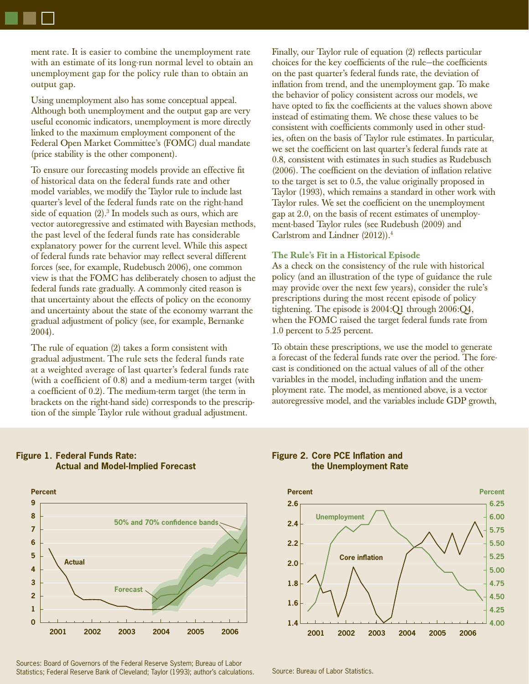ment rate. It is easier to combine the unemployment rate with an estimate of its long-run normal level to obtain an unemployment gap for the policy rule than to obtain an output gap.

Using unemployment also has some conceptual appeal. Although both unemployment and the output gap are very useful economic indicators, unemployment is more directly linked to the maximum employment component of the Federal Open Market Committee's (FOMC) dual mandate (price stability is the other component).

To ensure our forecasting models provide an effective fit of historical data on the federal funds rate and other model variables, we modify the Taylor rule to include last quarter's level of the federal funds rate on the right-hand side of equation (2).<sup>3</sup> In models such as ours, which are vector autoregressive and estimated with Bayesian methods, the past level of the federal funds rate has considerable explanatory power for the current level. While this aspect of federal funds rate behavior may reflect several different forces (see, for example, Rudebusch 2006), one common view is that the FOMC has deliberately chosen to adjust the federal funds rate gradually. A commonly cited reason is that uncertainty about the effects of policy on the economy and uncertainty about the state of the economy warrant the gradual adjustment of policy (see, for example, Bernanke 2004).

The rule of equation (2) takes a form consistent with gradual adjustment. The rule sets the federal funds rate at a weighted average of last quarter's federal funds rate (with a coefficient of  $(0.8)$  and a medium-term target (with a coefficient of  $(0.2)$ . The medium-term target (the term in brackets on the right-hand side) corresponds to the prescription of the simple Taylor rule without gradual adjustment.

Finally, our Taylor rule of equation (2) reflects particular choices for the key coefficients of the rule—the coefficients on the past quarter's federal funds rate, the deviation of inflation from trend, and the unemployment gap. To make the behavior of policy consistent across our models, we have opted to fix the coefficients at the values shown above instead of estimating them. We chose these values to be consistent with coefficients commonly used in other studies, often on the basis of Taylor rule estimates. In particular, we set the coefficient on last quarter's federal funds rate at 0.8, consistent with estimates in such studies as Rudebusch  $(2006)$ . The coefficient on the deviation of inflation relative to the target is set to 0.5, the value originally proposed in Taylor (1993), which remains a standard in other work with Taylor rules. We set the coefficient on the unemployment gap at 2.0, on the basis of recent estimates of unemployment-based Taylor rules (see Rudebush (2009) and Carlstrom and Lindner (2012)).4

# **The Rule's Fit in a Historical Episode**

As a check on the consistency of the rule with historical policy (and an illustration of the type of guidance the rule may provide over the next few years), consider the rule's prescriptions during the most recent episode of policy tightening. The episode is 2004:Q1 through 2006:Q4, when the FOMC raised the target federal funds rate from 1.0 percent to 5.25 percent.

To obtain these prescriptions, we use the model to generate a forecast of the federal funds rate over the period. The forecast is conditioned on the actual values of all of the other variables in the model, including inflation and the unemployment rate. The model, as mentioned above, is a vector autoregressive model, and the variables include GDP growth,

# **Figure 1. Federal Funds Rate: Actual and Model-Implied Forecast**



Sources: Board of Governors of the Federal Reserve System; Bureau of Labor Statistics; Federal Reserve Bank of Cleveland; Taylor (1993); author's calculations. Source: Bureau of Labor Statistics.

### **Figure 2. Core PCE Inflation and the Unemployment Rate**

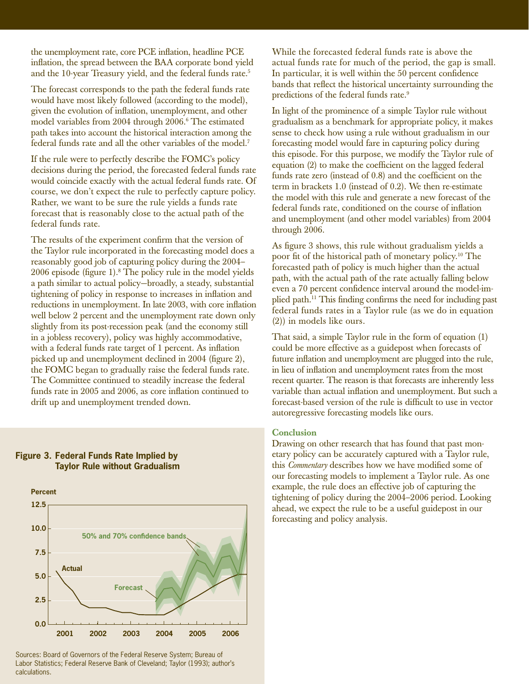the unemployment rate, core PCE inflation, headline PCE inflation, the spread between the BAA corporate bond yield and the 10-year Treasury yield, and the federal funds rate.<sup>5</sup>

The forecast corresponds to the path the federal funds rate would have most likely followed (according to the model), given the evolution of inflation, unemployment, and other model variables from 2004 through 2006.6 The estimated path takes into account the historical interaction among the federal funds rate and all the other variables of the model.7

If the rule were to perfectly describe the FOMC's policy decisions during the period, the forecasted federal funds rate would coincide exactly with the actual federal funds rate. Of course, we don't expect the rule to perfectly capture policy. Rather, we want to be sure the rule yields a funds rate forecast that is reasonably close to the actual path of the federal funds rate.

The results of the experiment confirm that the version of the Taylor rule incorporated in the forecasting model does a reasonably good job of capturing policy during the 2004– 2006 episode (figure 1).<sup>8</sup> The policy rule in the model yields a path similar to actual policy—broadly, a steady, substantial tightening of policy in response to increases in inflation and reductions in unemployment. In late 2003, with core inflation well below 2 percent and the unemployment rate down only slightly from its post-recession peak (and the economy still in a jobless recovery), policy was highly accommodative, with a federal funds rate target of  $1$  percent. As inflation picked up and unemployment declined in 2004 (figure 2), the FOMC began to gradually raise the federal funds rate. The Committee continued to steadily increase the federal funds rate in 2005 and 2006, as core inflation continued to drift up and unemployment trended down.



# **Figure 3. Federal Funds Rate Implied by Taylor Rule without Gradualism**

Sources: Board of Governors of the Federal Reserve System; Bureau of Labor Statistics; Federal Reserve Bank of Cleveland; Taylor (1993); author's calculations.

While the forecasted federal funds rate is above the actual funds rate for much of the period, the gap is small. In particular, it is well within the 50 percent confidence bands that reflect the historical uncertainty surrounding the predictions of the federal funds rate.<sup>9</sup>

In light of the prominence of a simple Taylor rule without gradualism as a benchmark for appropriate policy, it makes sense to check how using a rule without gradualism in our forecasting model would fare in capturing policy during this episode. For this purpose, we modify the Taylor rule of equation (2) to make the coefficient on the lagged federal funds rate zero (instead of  $0.8$ ) and the coefficient on the term in brackets 1.0 (instead of 0.2). We then re-estimate the model with this rule and generate a new forecast of the federal funds rate, conditioned on the course of inflation and unemployment (and other model variables) from 2004 through 2006.

As figure 3 shows, this rule without gradualism yields a poor fit of the historical path of monetary policy.<sup>10</sup> The forecasted path of policy is much higher than the actual path, with the actual path of the rate actually falling below even a 70 percent confidence interval around the model-implied path.<sup>11</sup> This finding confirms the need for including past federal funds rates in a Taylor rule (as we do in equation (2)) in models like ours.

That said, a simple Taylor rule in the form of equation (1) could be more effective as a guidepost when forecasts of future inflation and unemployment are plugged into the rule, in lieu of inflation and unemployment rates from the most recent quarter. The reason is that forecasts are inherently less variable than actual inflation and unemployment. But such a forecast-based version of the rule is difficult to use in vector autoregressive forecasting models like ours.

# **Conclusion**

Drawing on other research that has found that past monetary policy can be accurately captured with a Taylor rule, this *Commentary* describes how we have modified some of our forecasting models to implement a Taylor rule. As one example, the rule does an effective job of capturing the tightening of policy during the 2004–2006 period. Looking ahead, we expect the rule to be a useful guidepost in our forecasting and policy analysis.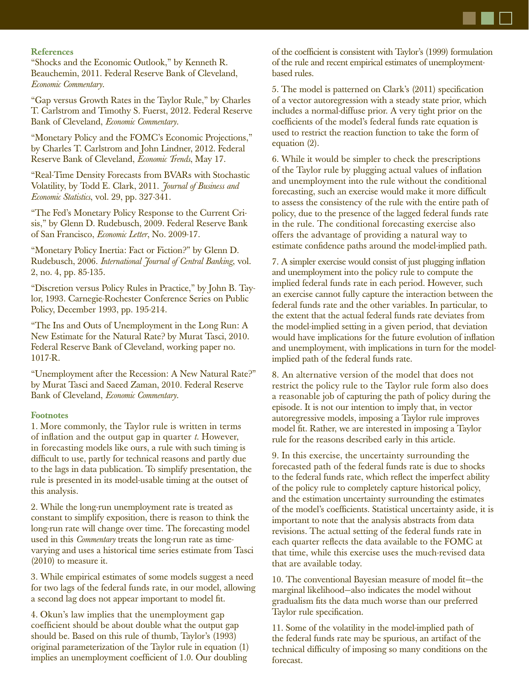

# **References**

"Shocks and the Economic Outlook," by Kenneth R. Beauchemin, 2011. Federal Reserve Bank of Cleveland, *Economic Commentary*.

"Gap versus Growth Rates in the Taylor Rule," by Charles T. Carlstrom and Timothy S. Fuerst, 2012. Federal Reserve Bank of Cleveland, *Economic Commentary*.

"Monetary Policy and the FOMC's Economic Projections," by Charles T. Carlstrom and John Lindner, 2012. Federal Reserve Bank of Cleveland, *Economic Trends*, May 17.

"Real-Time Density Forecasts from BVARs with Stochastic Volatility, by Todd E. Clark, 2011. *Journal of Business and Economic Statistics*, vol. 29, pp. 327-341.

"The Fed's Monetary Policy Response to the Current Crisis," by Glenn D. Rudebusch, 2009. Federal Reserve Bank of San Francisco, *Economic Letter*, No. 2009-17.

"Monetary Policy Inertia: Fact or Fiction?" by Glenn D. Rudebusch, 2006. *International Journal of Central Banking*, vol. 2, no. 4, pp. 85-135.

"Discretion versus Policy Rules in Practice," by John B. Taylor, 1993. Carnegie-Rochester Conference Series on Public Policy, December 1993, pp. 195-214.

"The Ins and Outs of Unemployment in the Long Run: A New Estimate for the Natural Rate? by Murat Tasci, 2010. Federal Reserve Bank of Cleveland, working paper no. 1017-R.

"Unemployment after the Recession: A New Natural Rate?" by Murat Tasci and Saeed Zaman, 2010. Federal Reserve Bank of Cleveland, *Economic Commentary*.

### **Footnotes**

1. More commonly, the Taylor rule is written in terms of infl ation and the output gap in quarter *t*. However, in forecasting models like ours, a rule with such timing is difficult to use, partly for technical reasons and partly due to the lags in data publication. To simplify presentation, the rule is presented in its model-usable timing at the outset of this analysis.

2. While the long-run unemployment rate is treated as constant to simplify exposition, there is reason to think the long-run rate will change over time. The forecasting model used in this *Commentary* treats the long-run rate as timevarying and uses a historical time series estimate from Tasci (2010) to measure it.

3. While empirical estimates of some models suggest a need for two lags of the federal funds rate, in our model, allowing a second lag does not appear important to model fit.

4. Okun's law implies that the unemployment gap coefficient should be about double what the output gap should be. Based on this rule of thumb, Taylor's (1993) original parameterization of the Taylor rule in equation (1) implies an unemployment coefficient of 1.0. Our doubling of the coefficient is consistent with Taylor's (1999) formulation of the rule and recent empirical estimates of unemploymentbased rules.

5. The model is patterned on Clark's (2011) specification of a vector autoregression with a steady state prior, which includes a normal-diffuse prior. A very tight prior on the coefficients of the model's federal funds rate equation is used to restrict the reaction function to take the form of equation (2).

6. While it would be simpler to check the prescriptions of the Taylor rule by plugging actual values of inflation and unemployment into the rule without the conditional forecasting, such an exercise would make it more difficult to assess the consistency of the rule with the entire path of policy, due to the presence of the lagged federal funds rate in the rule. The conditional forecasting exercise also offers the advantage of providing a natural way to estimate confidence paths around the model-implied path.

7. A simpler exercise would consist of just plugging inflation and unemployment into the policy rule to compute the implied federal funds rate in each period. However, such an exercise cannot fully capture the interaction between the federal funds rate and the other variables. In particular, to the extent that the actual federal funds rate deviates from the model-implied setting in a given period, that deviation would have implications for the future evolution of inflation and unemployment, with implications in turn for the modelimplied path of the federal funds rate.

8. An alternative version of the model that does not restrict the policy rule to the Taylor rule form also does a reasonable job of capturing the path of policy during the episode. It is not our intention to imply that, in vector autoregressive models, imposing a Taylor rule improves model fit. Rather, we are interested in imposing a Taylor rule for the reasons described early in this article.

9. In this exercise, the uncertainty surrounding the forecasted path of the federal funds rate is due to shocks to the federal funds rate, which reflect the imperfect ability of the policy rule to completely capture historical policy, and the estimation uncertainty surrounding the estimates of the model's coefficients. Statistical uncertainty aside, it is important to note that the analysis abstracts from data revisions. The actual setting of the federal funds rate in each quarter reflects the data available to the FOMC at that time, while this exercise uses the much-revised data that are available today.

10. The conventional Bayesian measure of model fit-the marginal likelihood—also indicates the model without gradualism fits the data much worse than our preferred Taylor rule specification.

11. Some of the volatility in the model-implied path of the federal funds rate may be spurious, an artifact of the technical difficulty of imposing so many conditions on the forecast.